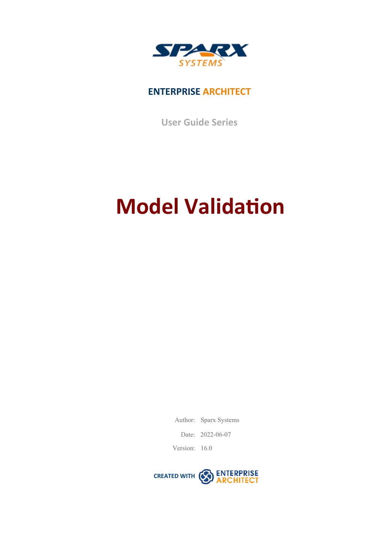

### **ENTERPRISE ARCHITECT**

**User Guide Series**

# **Model Validation**

Author: Sparx Systems

Date: 2022-06-07

Version: 16.0

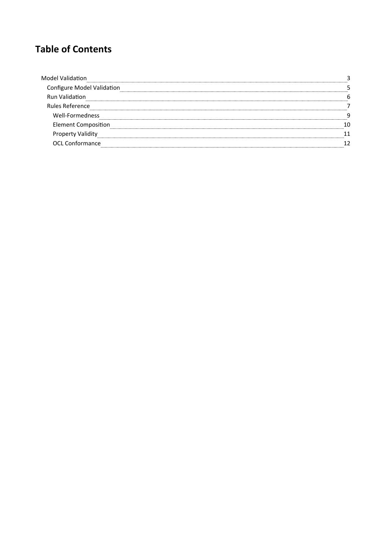### **Table of Contents**

| figure Model Validation |  |
|-------------------------|--|
| <b>Run Validation</b>   |  |
| Rules Reference         |  |
| Well-Formedness         |  |
| Element Composition     |  |
|                         |  |
| OCL Conformance         |  |
|                         |  |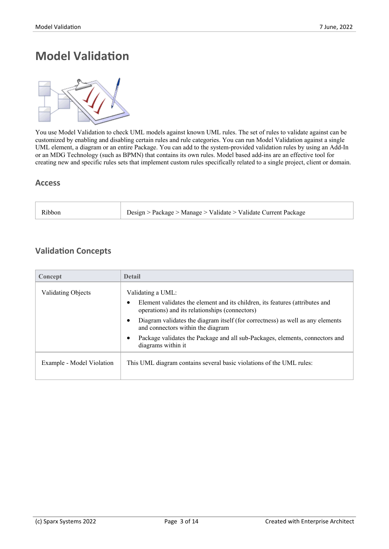### **Model Validation**



You use Model Validation to check UML models against known UML rules. The set of rules to validate against can be customized by enabling and disabling certain rules and rule categories. You can run Model Validation against a single UML element, a diagram or an entire Package. You can add to the system-provided validation rules by using an Add-In or an MDG Technology (such as BPMN) that contains its own rules. Model based add-ins are an effective tool for creating new and specific rules sets that implement custom rules specifically related to a single project, client or domain.

#### **Access**

| Design > Package > Manage > Validate > Validate Current Package<br>Ribbor |
|---------------------------------------------------------------------------|
|---------------------------------------------------------------------------|

### **Validation Concepts**

| Concept                   | <b>Detail</b>                                                                                                                  |
|---------------------------|--------------------------------------------------------------------------------------------------------------------------------|
| <b>Validating Objects</b> | Validating a UML:                                                                                                              |
|                           | Element validates the element and its children, its features (attributes and<br>operations) and its relationships (connectors) |
|                           | Diagram validates the diagram itself (for correctness) as well as any elements<br>and connectors within the diagram            |
|                           | Package validates the Package and all sub-Packages, elements, connectors and<br>diagrams within it                             |
| Example - Model Violation | This UML diagram contains several basic violations of the UML rules:                                                           |
|                           |                                                                                                                                |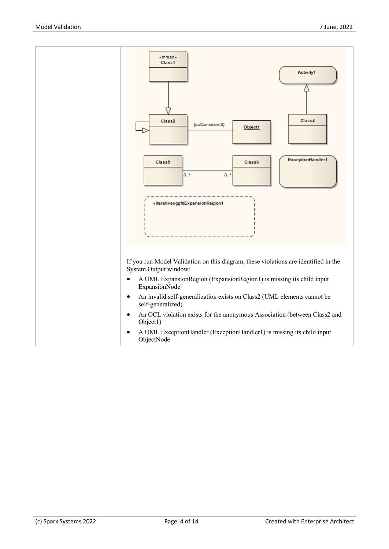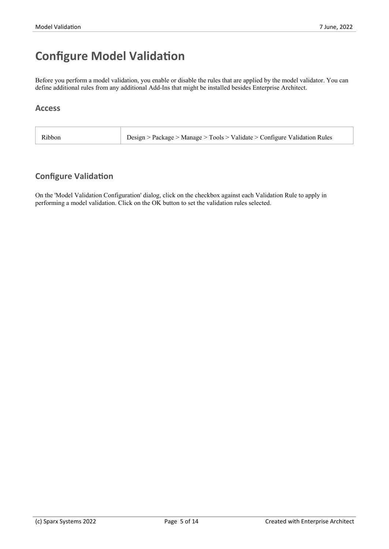### **Configure Model Validation**

Before you perform a model validation, you enable or disable the rules that are applied by the model validator. You can define additional rules from any additional Add-Ins that might be installed besides Enterprise Architect.

### **Access**

| Design > Package > Manage > Tools > Validate > Configure Validation Rules |
|---------------------------------------------------------------------------|
|---------------------------------------------------------------------------|

### **Configure Validation**

On the 'Model Validation Configuration'dialog, click on the checkbox against each Validation Rule to apply in performing a model validation. Click on the OK button to set the validation rules selected.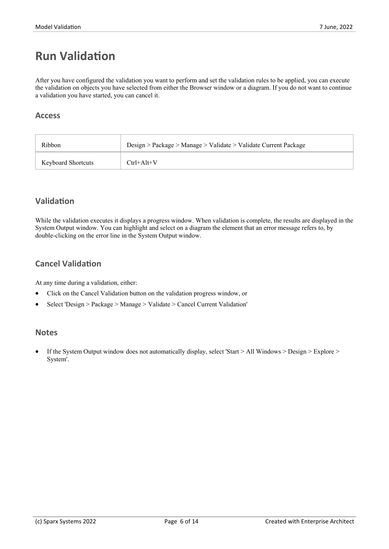### **Run Validation**

After you have configured the validation you want to perform and set the validation rules to be applied, you can execute the validation on objects you have selected from either the Browser window or a diagram. If you do not want to continue a validation you have started, you can cancel it.

#### **Access**

| Ribbon                    | Design > Package > Manage > Validate > Validate Current Package |
|---------------------------|-----------------------------------------------------------------|
| <b>Keyboard Shortcuts</b> | $Ctrl+Alt+V$                                                    |

### **Validation**

While the validation executes it displays a progress window. When validation is complete, the results are displayed in the System Output window. You can highlight and select on a diagram the element that an error message refers to, by double-clicking on the error line in the System Output window.

### **Cancel Validation**

At any time during a validation, either:

- · Click on the Cancel Validation button on the validation progress window, or
- · Select 'Design > Package > Manage > Validate > Cancel Current Validation'

#### **Notes**

· If the System Output window does not automatically display, select 'Start > All Windows > Design > Explore > System'.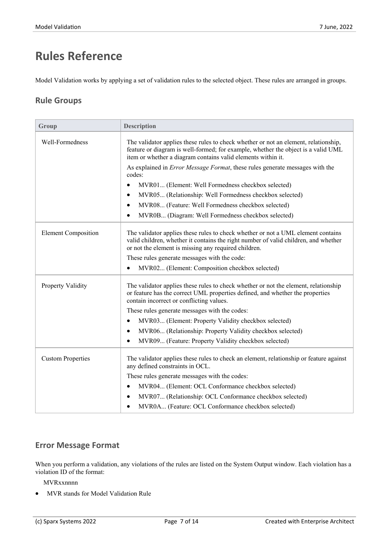# **Rules Reference**

Model Validation works by applying a set of validation rules to the selected object. These rules are arranged in groups.

### **Rule Groups**

| Group                      | <b>Description</b>                                                                                                                                                                                                                       |
|----------------------------|------------------------------------------------------------------------------------------------------------------------------------------------------------------------------------------------------------------------------------------|
| Well-Formedness            | The validator applies these rules to check whether or not an element, relationship,<br>feature or diagram is well-formed; for example, whether the object is a valid UML<br>item or whether a diagram contains valid elements within it. |
|                            | As explained in <i>Error Message Format</i> , these rules generate messages with the<br>codes:                                                                                                                                           |
|                            | MVR01 (Element: Well Formedness checkbox selected)<br>٠                                                                                                                                                                                  |
|                            | MVR05 (Relationship: Well Formedness checkbox selected)<br>$\bullet$                                                                                                                                                                     |
|                            | MVR08 (Feature: Well Formedness checkbox selected)<br>٠                                                                                                                                                                                  |
|                            | MVR0B (Diagram: Well Formedness checkbox selected)<br>٠                                                                                                                                                                                  |
| <b>Element Composition</b> | The validator applies these rules to check whether or not a UML element contains<br>valid children, whether it contains the right number of valid children, and whether<br>or not the element is missing any required children.          |
|                            | These rules generate messages with the code:                                                                                                                                                                                             |
|                            | MVR02 (Element: Composition checkbox selected)                                                                                                                                                                                           |
| Property Validity          | The validator applies these rules to check whether or not the element, relationship<br>or feature has the correct UML properties defined, and whether the properties<br>contain incorrect or conflicting values.                         |
|                            | These rules generate messages with the codes:                                                                                                                                                                                            |
|                            | MVR03 (Element: Property Validity checkbox selected)<br>$\bullet$                                                                                                                                                                        |
|                            | MVR06 (Relationship: Property Validity checkbox selected)<br>$\bullet$                                                                                                                                                                   |
|                            | MVR09 (Feature: Property Validity checkbox selected)<br>$\bullet$                                                                                                                                                                        |
| <b>Custom Properties</b>   | The validator applies these rules to check an element, relationship or feature against<br>any defined constraints in OCL.                                                                                                                |
|                            | These rules generate messages with the codes:                                                                                                                                                                                            |
|                            | MVR04 (Element: OCL Conformance checkbox selected)                                                                                                                                                                                       |
|                            | MVR07 (Relationship: OCL Conformance checkbox selected)                                                                                                                                                                                  |
|                            | MVR0A (Feature: OCL Conformance checkbox selected)                                                                                                                                                                                       |

### **Error Message Format**

When you perform a validation, any violations of the rules are listed on the System Output window. Each violation has a violation ID of the format:

MVRxxnnnn

MVR stands for Model Validation Rule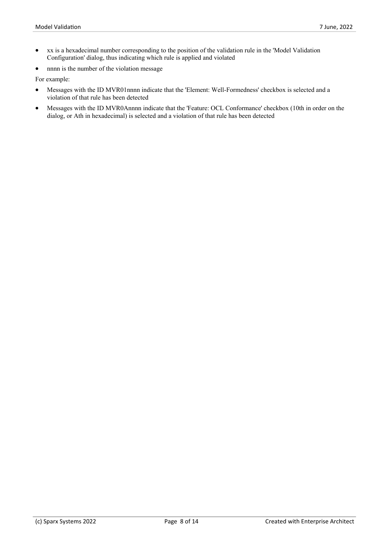- · xx is a hexadecimal number corresponding to the position of the validation rule in the 'Model Validation Configuration' dialog, thus indicating which rule is applied and violated
- nnnn is the number of the violation message

For example:

- Messages with the ID MVR01nnnn indicate that the 'Element: Well-Formedness' checkbox is selected and a violation of that rule has been detected
- Messages with the ID MVR0Annnn indicate that the 'Feature: OCL Conformance' checkbox (10th in order on the dialog, or Ath in hexadecimal) is selected and a violation of that rule has been detected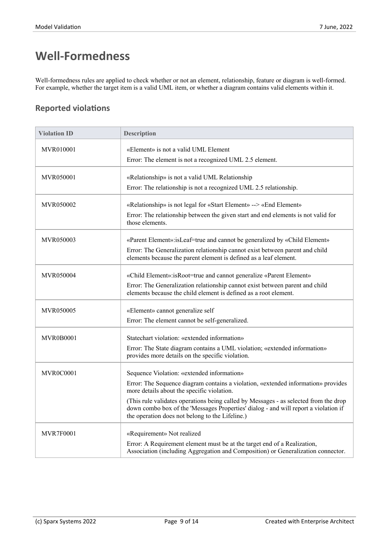# **Well-Formedness**

Well-formedness rules are applied to check whether or not an element, relationship, feature or diagram is well-formed. For example, whether the target item is a valid UML item, or whether a diagram contains valid elements within it.

| <b>Violation ID</b> | <b>Description</b>                                                                                                                                                                                                             |
|---------------------|--------------------------------------------------------------------------------------------------------------------------------------------------------------------------------------------------------------------------------|
| MVR010001           | «Element» is not a valid UML Element                                                                                                                                                                                           |
|                     | Error: The element is not a recognized UML 2.5 element.                                                                                                                                                                        |
| MVR050001           | «Relationship» is not a valid UML Relationship                                                                                                                                                                                 |
|                     | Error: The relationship is not a recognized UML 2.5 relationship.                                                                                                                                                              |
| MVR050002           | «Relationship» is not legal for «Start Element» --> «End Element»                                                                                                                                                              |
|                     | Error: The relationship between the given start and end elements is not valid for<br>those elements.                                                                                                                           |
| MVR050003           | «Parent Element»: is Leaf=true and cannot be generalized by «Child Element»                                                                                                                                                    |
|                     | Error: The Generalization relationship cannot exist between parent and child<br>elements because the parent element is defined as a leaf element.                                                                              |
| MVR050004           | «Child Element»:isRoot=true and cannot generalize «Parent Element»                                                                                                                                                             |
|                     | Error: The Generalization relationship cannot exist between parent and child<br>elements because the child element is defined as a root element.                                                                               |
| MVR050005           | «Element» cannot generalize self                                                                                                                                                                                               |
|                     | Error: The element cannot be self-generalized.                                                                                                                                                                                 |
| MVR0B0001           | Statechart violation: «extended information»                                                                                                                                                                                   |
|                     | Error: The State diagram contains a UML violation; «extended information»<br>provides more details on the specific violation.                                                                                                  |
| MVR0C0001           | Sequence Violation: «extended information»                                                                                                                                                                                     |
|                     | Error: The Sequence diagram contains a violation, «extended information» provides<br>more details about the specific violation.                                                                                                |
|                     | (This rule validates operations being called by Messages - as selected from the drop<br>down combo box of the 'Messages Properties' dialog - and will report a violation if<br>the operation does not belong to the Lifeline.) |
| <b>MVR7F0001</b>    | «Requirement» Not realized                                                                                                                                                                                                     |
|                     | Error: A Requirement element must be at the target end of a Realization,<br>Association (including Aggregation and Composition) or Generalization connector.                                                                   |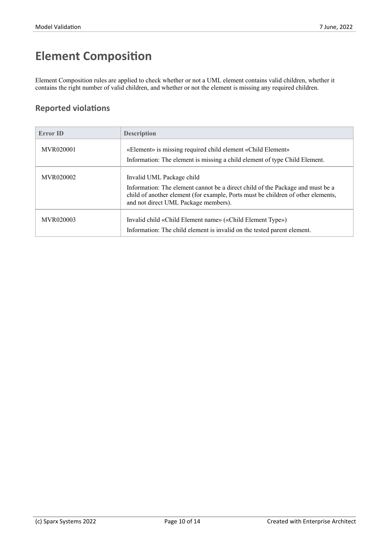# **Element Composition**

Element Composition rules are applied to check whether or not a UML element contains valid children, whether it contains the right number of valid children, and whether or not the element is missing any required children.

| <b>Error ID</b>  | <b>Description</b>                                                                                                                                                                                                                      |
|------------------|-----------------------------------------------------------------------------------------------------------------------------------------------------------------------------------------------------------------------------------------|
| MVR020001        | «Element» is missing required child element «Child Element»                                                                                                                                                                             |
|                  | Information: The element is missing a child element of type Child Element.                                                                                                                                                              |
| <b>MVR020002</b> | Invalid UML Package child<br>Information: The element cannot be a direct child of the Package and must be a<br>child of another element (for example, Ports must be children of other elements,<br>and not direct UML Package members). |
| <b>MVR020003</b> | Invalid child «Child Element name» («Child Element Type»)<br>Information: The child element is invalid on the tested parent element.                                                                                                    |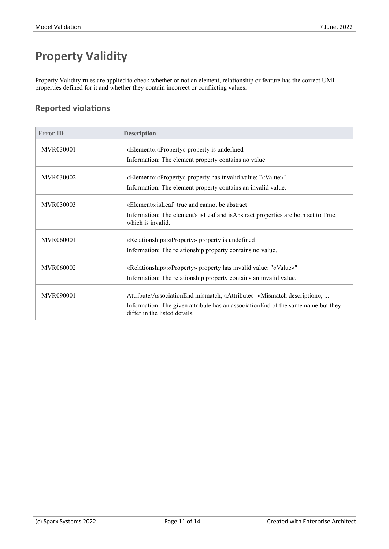# **Property Validity**

Property Validity rules are applied to check whether or not an element, relationship or feature has the correct UML properties defined for it and whether they contain incorrect or conflicting values.

| <b>Error ID</b>  | <b>Description</b>                                                                                                 |
|------------------|--------------------------------------------------------------------------------------------------------------------|
| <b>MVR030001</b> | «Element»: «Property» property is undefined                                                                        |
|                  | Information: The element property contains no value.                                                               |
| <b>MVR030002</b> | «Element»: «Property» property has invalid value: "«Value»"                                                        |
|                  | Information: The element property contains an invalid value.                                                       |
| <b>MVR030003</b> | «Element»: is Leaf=true and cannot be abstract                                                                     |
|                  | Information: The element's is Leaf and is Abstract properties are both set to True,<br>which is invalid.           |
| <b>MVR060001</b> | «Relationship»: «Property» property is undefined                                                                   |
|                  | Information: The relationship property contains no value.                                                          |
| MVR060002        | «Relationship»: «Property» property has invalid value: "«Value»"                                                   |
|                  | Information: The relationship property contains an invalid value.                                                  |
| <b>MVR090001</b> | Attribute/AssociationEnd mismatch, «Attribute»: «Mismatch description»,                                            |
|                  | Information: The given attribute has an association End of the same name but they<br>differ in the listed details. |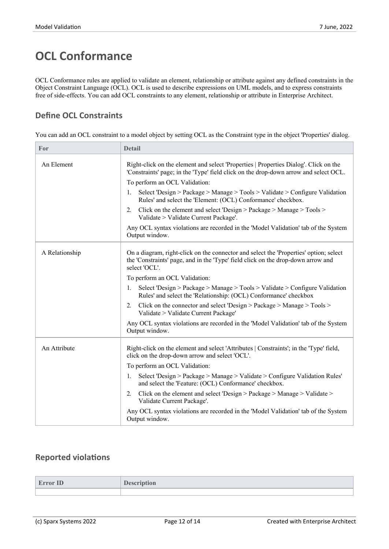### **OCL Conformance**

OCL Conformance rules are applied to validate an element, relationship or attribute against any defined constraints in the Object Constraint Language (OCL). OCL is used to describe expressions on UML models, and to express constraints free of side-effects. You can add OCL constraints to any element, relationship or attribute in Enterprise Architect.

### **Define OCL Constraints**

You can add an OCL constraint to a model object by setting OCL as the Constraint type in the object 'Properties' dialog.

| For<br><b>Detail</b>                                                                                                                                                                                         |  |
|--------------------------------------------------------------------------------------------------------------------------------------------------------------------------------------------------------------|--|
| An Element<br>Right-click on the element and select 'Properties   Properties Dialog'. Click on the<br>'Constraints' page; in the 'Type' field click on the drop-down arrow and select OCL.                   |  |
| To perform an OCL Validation:                                                                                                                                                                                |  |
| Select 'Design > Package > Manage > Tools > Validate > Configure Validation<br>1.<br>Rules' and select the 'Element: (OCL) Conformance' checkbox.                                                            |  |
| Click on the element and select 'Design > Package > Manage > Tools ><br>2.<br>Validate > Validate Current Package'.                                                                                          |  |
| Any OCL syntax violations are recorded in the 'Model Validation' tab of the System<br>Output window.                                                                                                         |  |
| A Relationship<br>On a diagram, right-click on the connector and select the 'Properties' option; select<br>the 'Constraints' page, and in the 'Type' field click on the drop-down arrow and<br>select 'OCL'. |  |
| To perform an OCL Validation:                                                                                                                                                                                |  |
| Select 'Design > Package > Manage > Tools > Validate > Configure Validation<br>$\mathbf{I}$ .<br>Rules' and select the 'Relationship: (OCL) Conformance' checkbox                                            |  |
| Click on the connector and select 'Design > Package > Manage > Tools ><br>2.<br>Validate > Validate Current Package'                                                                                         |  |
| Any OCL syntax violations are recorded in the 'Model Validation' tab of the System<br>Output window.                                                                                                         |  |
| Right-click on the element and select 'Attributes   Constraints'; in the 'Type' field,<br>An Attribute<br>click on the drop-down arrow and select 'OCL'.                                                     |  |
| To perform an OCL Validation:                                                                                                                                                                                |  |
| Select 'Design > Package > Manage > Validate > Configure Validation Rules'<br>1.<br>and select the 'Feature: (OCL) Conformance' checkbox.                                                                    |  |
| 2. Click on the element and select 'Design > Package > Manage > Validate ><br>Validate Current Package'.                                                                                                     |  |
| Any OCL syntax violations are recorded in the 'Model Validation' tab of the System<br>Output window.                                                                                                         |  |

| <b>Error ID</b> | <b>TA</b><br>$\sqrt{2}$<br>iption |
|-----------------|-----------------------------------|
|                 |                                   |